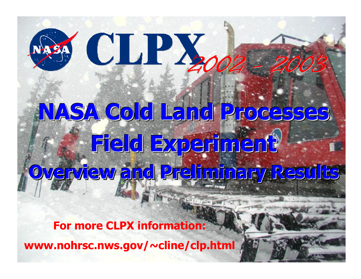## SS CLPY

## **NASA Cold Land Processes NASA Cold Land Processes NASA Cold Land Processes NASA Cold Land Processes Field Experiment Field Experiment Field Experiment Field Experiment Overview and Preliminary Results Overview and Preliminary Results Overview and Preliminary Results Overview and Preliminary Results**

**For more CLPX information:**

**www.nohrsc.nws.gov/~cline/clp.html**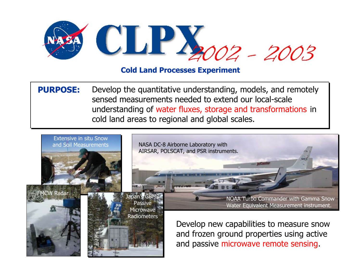

**PURPOSE: PURPOSE:** Develop the quantitative understanding, models, and remotely sensed measurements needed to extend our local-scaleunderstanding of water fluxes, storage and transformations in cold land areas to regional and global scales.

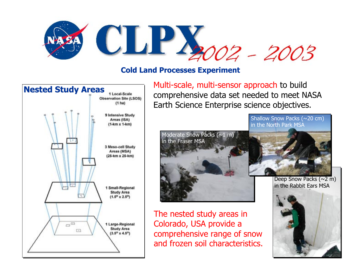



**Nested Study Areas**<br>Multi-scale, multi-sensor approach to build<br>Nested Study Areas **Multi-scale** comprehensive data set needed to meet NASA Earth Science Enterprise science objectives.



## Moderate Snow Packs (~1 m) in the Fraser MSA

The nested study areas in Colorado, USA provide a comprehensive range of snow and frozen soil characteristics.

Deep Snow Packs  $(\sim 2 \text{ m})$ in the Rabbit Ears MSA